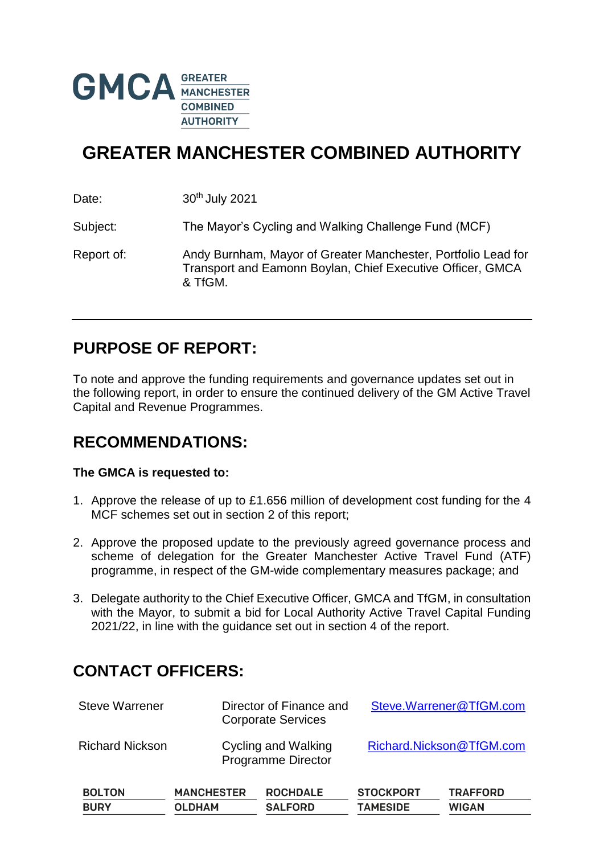

# **GREATER MANCHESTER COMBINED AUTHORITY**

Date: 30<sup>th</sup> July 2021

Subject: The Mayor's Cycling and Walking Challenge Fund (MCF)

Report of: Andy Burnham, Mayor of Greater Manchester, Portfolio Lead for Transport and Eamonn Boylan, Chief Executive Officer, GMCA & TfGM.

### **PURPOSE OF REPORT:**

To note and approve the funding requirements and governance updates set out in the following report, in order to ensure the continued delivery of the GM Active Travel Capital and Revenue Programmes.

### **RECOMMENDATIONS:**

#### **The GMCA is requested to:**

- 1. Approve the release of up to £1.656 million of development cost funding for the 4 MCF schemes set out in section 2 of this report;
- 2. Approve the proposed update to the previously agreed governance process and scheme of delegation for the Greater Manchester Active Travel Fund (ATF) programme, in respect of the GM-wide complementary measures package; and
- 3. Delegate authority to the Chief Executive Officer, GMCA and TfGM, in consultation with the Mayor, to submit a bid for Local Authority Active Travel Capital Funding 2021/22, in line with the guidance set out in section 4 of the report.

# **CONTACT OFFICERS:**

| <b>Steve Warrener</b>        |                                    | Director of Finance and<br><b>Corporate Services</b> |                                     | Steve.Warrener@TfGM.com         |  |  |
|------------------------------|------------------------------------|------------------------------------------------------|-------------------------------------|---------------------------------|--|--|
| <b>Richard Nickson</b>       |                                    | Cycling and Walking<br><b>Programme Director</b>     | Richard.Nickson@TfGM.com            |                                 |  |  |
| <b>BOLTON</b><br><b>BURY</b> | <b>MANCHESTER</b><br><b>OLDHAM</b> | <b>ROCHDALE</b><br><b>SALFORD</b>                    | <b>STOCKPORT</b><br><b>TAMESIDE</b> | <b>TRAFFORD</b><br><b>WIGAN</b> |  |  |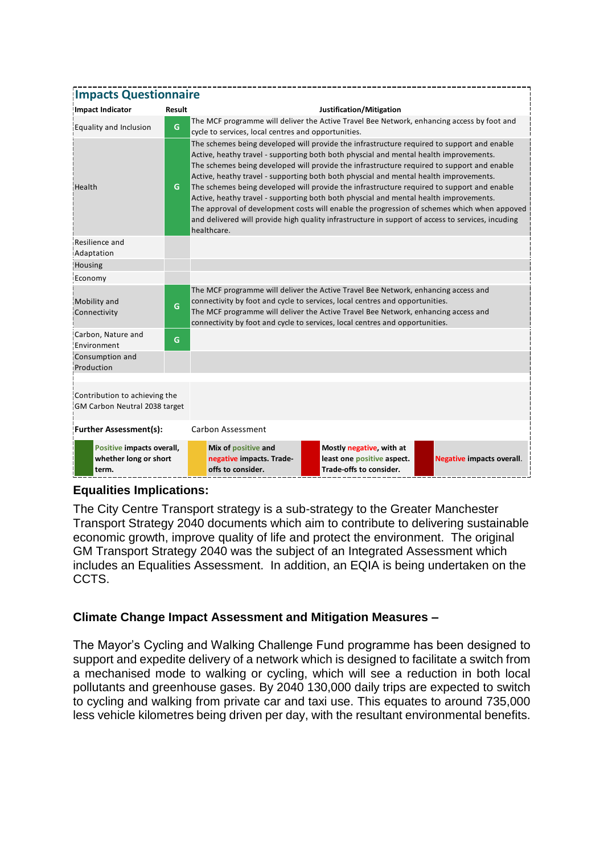| <b>Impacts Questionnaire</b>                                   |        |                                                                                                                                                                                                                                                                                                                                                                                                                                                                                                                                                                                                                                                                                                                                                                                      |                                                                                   |                                  |  |  |  |
|----------------------------------------------------------------|--------|--------------------------------------------------------------------------------------------------------------------------------------------------------------------------------------------------------------------------------------------------------------------------------------------------------------------------------------------------------------------------------------------------------------------------------------------------------------------------------------------------------------------------------------------------------------------------------------------------------------------------------------------------------------------------------------------------------------------------------------------------------------------------------------|-----------------------------------------------------------------------------------|----------------------------------|--|--|--|
| <b>Impact Indicator</b>                                        | Result | Justification/Mitigation                                                                                                                                                                                                                                                                                                                                                                                                                                                                                                                                                                                                                                                                                                                                                             |                                                                                   |                                  |  |  |  |
| Equality and Inclusion                                         | G      | The MCF programme will deliver the Active Travel Bee Network, enhancing access by foot and<br>cycle to services, local centres and opportunities.                                                                                                                                                                                                                                                                                                                                                                                                                                                                                                                                                                                                                                    |                                                                                   |                                  |  |  |  |
| Health                                                         | G      | The schemes being developed will provide the infrastructure required to support and enable<br>Active, heathy travel - supporting both both physcial and mental health improvements.<br>The schemes being developed will provide the infrastructure required to support and enable<br>Active, heathy travel - supporting both both physcial and mental health improvements.<br>The schemes being developed will provide the infrastructure required to support and enable<br>Active, heathy travel - supporting both both physcial and mental health improvements.<br>The approval of development costs will enable the progression of schemes which when appoved<br>and delivered will provide high quality infrastructure in support of access to services, incuding<br>healthcare. |                                                                                   |                                  |  |  |  |
| Resilience and<br>Adaptation                                   |        |                                                                                                                                                                                                                                                                                                                                                                                                                                                                                                                                                                                                                                                                                                                                                                                      |                                                                                   |                                  |  |  |  |
| Housing                                                        |        |                                                                                                                                                                                                                                                                                                                                                                                                                                                                                                                                                                                                                                                                                                                                                                                      |                                                                                   |                                  |  |  |  |
| Economy                                                        |        |                                                                                                                                                                                                                                                                                                                                                                                                                                                                                                                                                                                                                                                                                                                                                                                      |                                                                                   |                                  |  |  |  |
| Mobility and<br>Connectivity                                   | G      | The MCF programme will deliver the Active Travel Bee Network, enhancing access and<br>connectivity by foot and cycle to services, local centres and opportunities.<br>The MCF programme will deliver the Active Travel Bee Network, enhancing access and<br>connectivity by foot and cycle to services, local centres and opportunities.                                                                                                                                                                                                                                                                                                                                                                                                                                             |                                                                                   |                                  |  |  |  |
| Carbon, Nature and<br>Environment                              | G      |                                                                                                                                                                                                                                                                                                                                                                                                                                                                                                                                                                                                                                                                                                                                                                                      |                                                                                   |                                  |  |  |  |
| Consumption and<br>Production                                  |        |                                                                                                                                                                                                                                                                                                                                                                                                                                                                                                                                                                                                                                                                                                                                                                                      |                                                                                   |                                  |  |  |  |
| Contribution to achieving the<br>GM Carbon Neutral 2038 target |        |                                                                                                                                                                                                                                                                                                                                                                                                                                                                                                                                                                                                                                                                                                                                                                                      |                                                                                   |                                  |  |  |  |
| <b>Further Assessment(s):</b>                                  |        | <b>Carbon Assessment</b>                                                                                                                                                                                                                                                                                                                                                                                                                                                                                                                                                                                                                                                                                                                                                             |                                                                                   |                                  |  |  |  |
| Positive impacts overall,<br>whether long or short<br>term.    |        | Mix of positive and<br>negative impacts. Trade-<br>offs to consider.                                                                                                                                                                                                                                                                                                                                                                                                                                                                                                                                                                                                                                                                                                                 | Mostly negative, with at<br>least one positive aspect.<br>Trade-offs to consider. | <b>Negative impacts overall.</b> |  |  |  |

#### **Equalities Implications:**

The City Centre Transport strategy is a sub-strategy to the Greater Manchester Transport Strategy 2040 documents which aim to contribute to delivering sustainable economic growth, improve quality of life and protect the environment. The original GM Transport Strategy 2040 was the subject of an Integrated Assessment which includes an Equalities Assessment. In addition, an EQIA is being undertaken on the CCTS.

#### **Climate Change Impact Assessment and Mitigation Measures –**

The Mayor's Cycling and Walking Challenge Fund programme has been designed to support and expedite delivery of a network which is designed to facilitate a switch from a mechanised mode to walking or cycling, which will see a reduction in both local pollutants and greenhouse gases. By 2040 130,000 daily trips are expected to switch to cycling and walking from private car and taxi use. This equates to around 735,000 less vehicle kilometres being driven per day, with the resultant environmental benefits.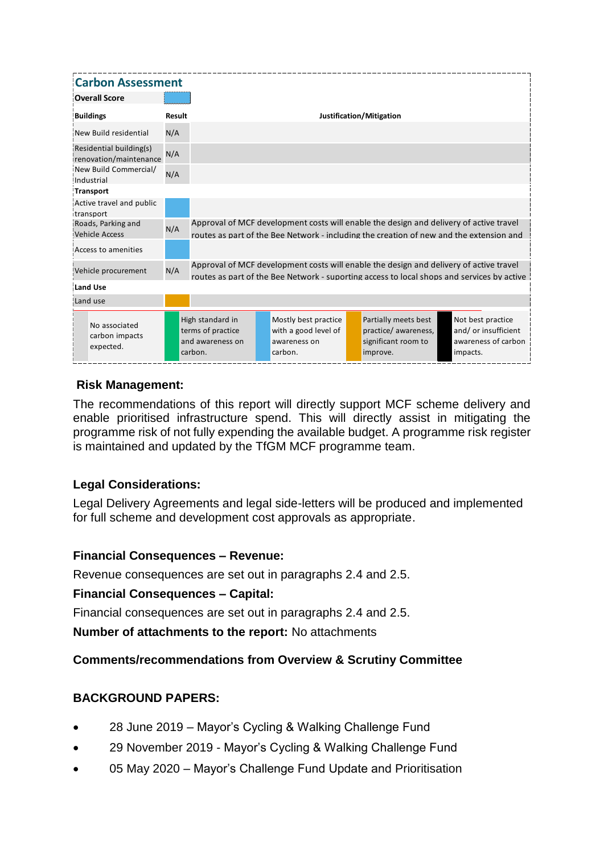| <b>Carbon Assessment</b>                          |        |                                                                                                                                                                                      |  |                                                                         |  |                                                                                |  |                                                                              |
|---------------------------------------------------|--------|--------------------------------------------------------------------------------------------------------------------------------------------------------------------------------------|--|-------------------------------------------------------------------------|--|--------------------------------------------------------------------------------|--|------------------------------------------------------------------------------|
| <b>Overall Score</b>                              |        |                                                                                                                                                                                      |  |                                                                         |  |                                                                                |  |                                                                              |
| <b>Buildings</b>                                  | Result | Justification/Mitigation                                                                                                                                                             |  |                                                                         |  |                                                                                |  |                                                                              |
| New Build residential                             | N/A    |                                                                                                                                                                                      |  |                                                                         |  |                                                                                |  |                                                                              |
| Residential building(s)<br>renovation/maintenance | N/A    |                                                                                                                                                                                      |  |                                                                         |  |                                                                                |  |                                                                              |
| New Build Commercial/<br>Industrial               | N/A    |                                                                                                                                                                                      |  |                                                                         |  |                                                                                |  |                                                                              |
| <b>Transport</b>                                  |        |                                                                                                                                                                                      |  |                                                                         |  |                                                                                |  |                                                                              |
| Active travel and public<br>transport             |        |                                                                                                                                                                                      |  |                                                                         |  |                                                                                |  |                                                                              |
| Roads, Parking and<br><b>Vehicle Access</b>       | N/A    | Approval of MCF development costs will enable the design and delivery of active travel<br>routes as part of the Bee Network - including the creation of new and the extension and    |  |                                                                         |  |                                                                                |  |                                                                              |
| Access to amenities                               |        |                                                                                                                                                                                      |  |                                                                         |  |                                                                                |  |                                                                              |
| Vehicle procurement                               | N/A    | Approval of MCF development costs will enable the design and delivery of active travel<br>routes as part of the Bee Network - suporting access to local shops and services by active |  |                                                                         |  |                                                                                |  |                                                                              |
| <b>Land Use</b>                                   |        |                                                                                                                                                                                      |  |                                                                         |  |                                                                                |  |                                                                              |
| Land use                                          |        |                                                                                                                                                                                      |  |                                                                         |  |                                                                                |  |                                                                              |
| No associated<br>carbon impacts<br>expected.      |        | High standard in<br>terms of practice<br>and awareness on<br>carbon.                                                                                                                 |  | Mostly best practice<br>with a good level of<br>awareness on<br>carbon. |  | Partially meets best<br>practice/awareness,<br>significant room to<br>improve. |  | Not best practice<br>and/ or insufficient<br>awareness of carbon<br>impacts. |

#### **Risk Management:**

The recommendations of this report will directly support MCF scheme delivery and enable prioritised infrastructure spend. This will directly assist in mitigating the programme risk of not fully expending the available budget. A programme risk register is maintained and updated by the TfGM MCF programme team.

#### **Legal Considerations:**

Legal Delivery Agreements and legal side-letters will be produced and implemented for full scheme and development cost approvals as appropriate.

#### **Financial Consequences – Revenue:**

Revenue consequences are set out in paragraphs 2.4 and 2.5.

#### **Financial Consequences – Capital:**

Financial consequences are set out in paragraphs 2.4 and 2.5.

**Number of attachments to the report:** No attachments

#### **Comments/recommendations from Overview & Scrutiny Committee**

#### **BACKGROUND PAPERS:**

- 28 June 2019 Mayor's Cycling & Walking Challenge Fund
- 29 November 2019 Mayor's Cycling & Walking Challenge Fund
- 05 May 2020 Mayor's Challenge Fund Update and Prioritisation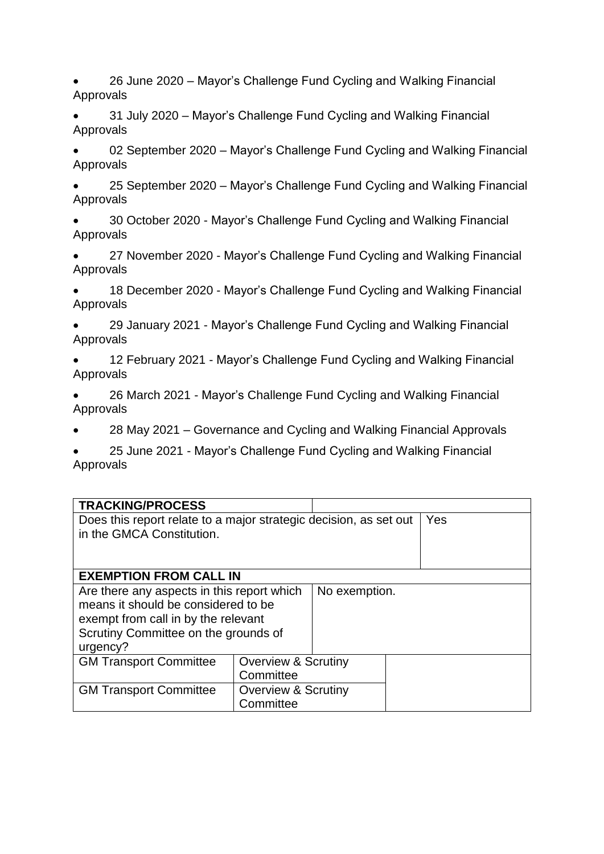- 26 June 2020 Mayor's Challenge Fund Cycling and Walking Financial Approvals
- 31 July 2020 Mayor's Challenge Fund Cycling and Walking Financial Approvals
- 02 September 2020 Mayor's Challenge Fund Cycling and Walking Financial Approvals
- 25 September 2020 Mayor's Challenge Fund Cycling and Walking Financial Approvals
- 30 October 2020 Mayor's Challenge Fund Cycling and Walking Financial Approvals
- 27 November 2020 Mayor's Challenge Fund Cycling and Walking Financial Approvals
- 18 December 2020 Mayor's Challenge Fund Cycling and Walking Financial Approvals
- 29 January 2021 Mayor's Challenge Fund Cycling and Walking Financial Approvals
- 12 February 2021 Mayor's Challenge Fund Cycling and Walking Financial Approvals
- 26 March 2021 Mayor's Challenge Fund Cycling and Walking Financial Approvals
- 28 May 2021 Governance and Cycling and Walking Financial Approvals
- 25 June 2021 Mayor's Challenge Fund Cycling and Walking Financial Approvals

| <b>TRACKING/PROCESS</b>                                           |                                |               |  |  |  |
|-------------------------------------------------------------------|--------------------------------|---------------|--|--|--|
| Does this report relate to a major strategic decision, as set out | Yes                            |               |  |  |  |
| in the GMCA Constitution.                                         |                                |               |  |  |  |
|                                                                   |                                |               |  |  |  |
|                                                                   |                                |               |  |  |  |
| <b>EXEMPTION FROM CALL IN</b>                                     |                                |               |  |  |  |
| Are there any aspects in this report which                        |                                | No exemption. |  |  |  |
| means it should be considered to be                               |                                |               |  |  |  |
| exempt from call in by the relevant                               |                                |               |  |  |  |
| Scrutiny Committee on the grounds of                              |                                |               |  |  |  |
| urgency?                                                          |                                |               |  |  |  |
| <b>GM Transport Committee</b>                                     | <b>Overview &amp; Scrutiny</b> |               |  |  |  |
|                                                                   | Committee                      |               |  |  |  |
| <b>GM Transport Committee</b>                                     | <b>Overview &amp; Scrutiny</b> |               |  |  |  |
|                                                                   |                                |               |  |  |  |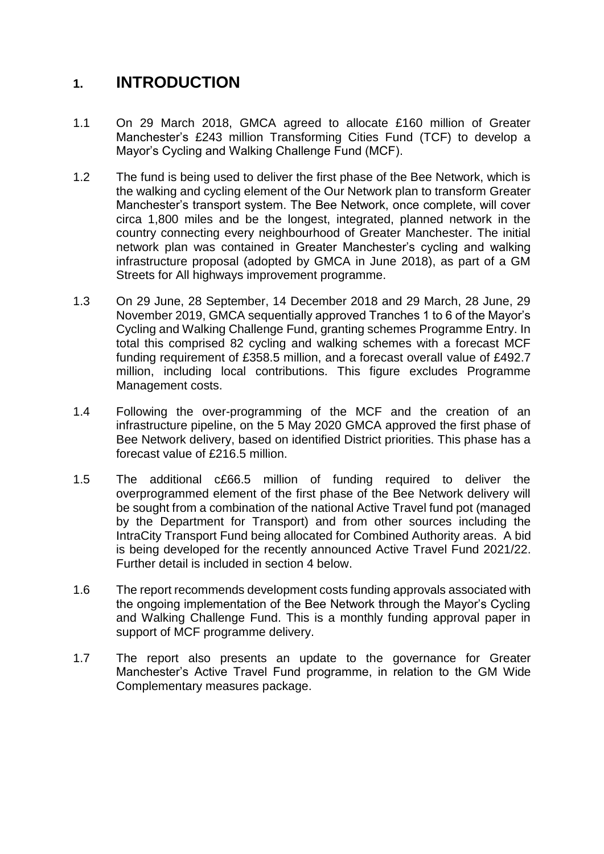### **1. INTRODUCTION**

- 1.1 On 29 March 2018, GMCA agreed to allocate £160 million of Greater Manchester's £243 million Transforming Cities Fund (TCF) to develop a Mayor's Cycling and Walking Challenge Fund (MCF).
- 1.2 The fund is being used to deliver the first phase of the Bee Network, which is the walking and cycling element of the Our Network plan to transform Greater Manchester's transport system. The Bee Network, once complete, will cover circa 1,800 miles and be the longest, integrated, planned network in the country connecting every neighbourhood of Greater Manchester. The initial network plan was contained in Greater Manchester's cycling and walking infrastructure proposal (adopted by GMCA in June 2018), as part of a GM Streets for All highways improvement programme.
- 1.3 On 29 June, 28 September, 14 December 2018 and 29 March, 28 June, 29 November 2019, GMCA sequentially approved Tranches 1 to 6 of the Mayor's Cycling and Walking Challenge Fund, granting schemes Programme Entry. In total this comprised 82 cycling and walking schemes with a forecast MCF funding requirement of £358.5 million, and a forecast overall value of £492.7 million, including local contributions. This figure excludes Programme Management costs.
- 1.4 Following the over-programming of the MCF and the creation of an infrastructure pipeline, on the 5 May 2020 GMCA approved the first phase of Bee Network delivery, based on identified District priorities. This phase has a forecast value of £216.5 million.
- 1.5 The additional c£66.5 million of funding required to deliver the overprogrammed element of the first phase of the Bee Network delivery will be sought from a combination of the national Active Travel fund pot (managed by the Department for Transport) and from other sources including the IntraCity Transport Fund being allocated for Combined Authority areas. A bid is being developed for the recently announced Active Travel Fund 2021/22. Further detail is included in section 4 below.
- 1.6 The report recommends development costs funding approvals associated with the ongoing implementation of the Bee Network through the Mayor's Cycling and Walking Challenge Fund. This is a monthly funding approval paper in support of MCF programme delivery.
- 1.7 The report also presents an update to the governance for Greater Manchester's Active Travel Fund programme, in relation to the GM Wide Complementary measures package.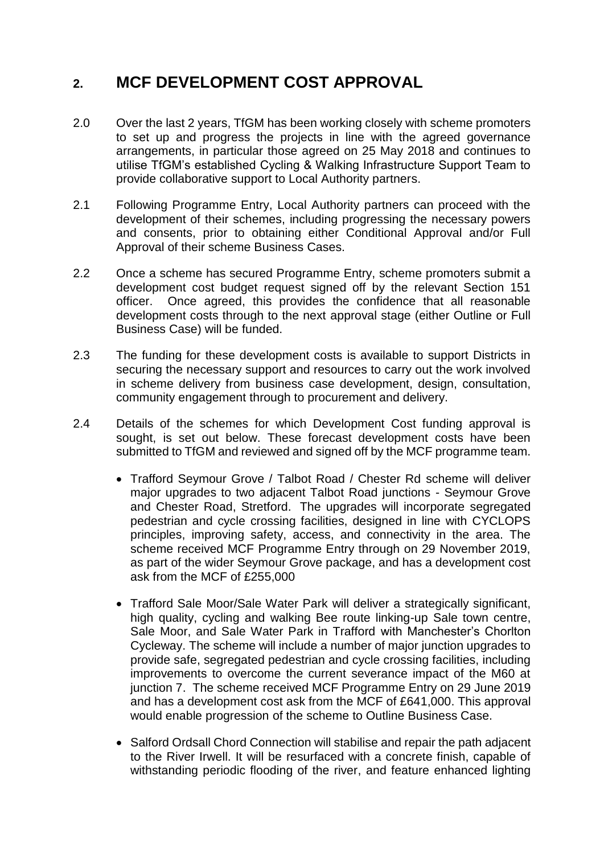## **2. MCF DEVELOPMENT COST APPROVAL**

- 2.0 Over the last 2 years, TfGM has been working closely with scheme promoters to set up and progress the projects in line with the agreed governance arrangements, in particular those agreed on 25 May 2018 and continues to utilise TfGM's established Cycling & Walking Infrastructure Support Team to provide collaborative support to Local Authority partners.
- 2.1 Following Programme Entry, Local Authority partners can proceed with the development of their schemes, including progressing the necessary powers and consents, prior to obtaining either Conditional Approval and/or Full Approval of their scheme Business Cases.
- 2.2 Once a scheme has secured Programme Entry, scheme promoters submit a development cost budget request signed off by the relevant Section 151 officer. Once agreed, this provides the confidence that all reasonable development costs through to the next approval stage (either Outline or Full Business Case) will be funded.
- 2.3 The funding for these development costs is available to support Districts in securing the necessary support and resources to carry out the work involved in scheme delivery from business case development, design, consultation, community engagement through to procurement and delivery.
- 2.4 Details of the schemes for which Development Cost funding approval is sought, is set out below. These forecast development costs have been submitted to TfGM and reviewed and signed off by the MCF programme team.
	- Trafford Seymour Grove / Talbot Road / Chester Rd scheme will deliver major upgrades to two adjacent Talbot Road junctions - Seymour Grove and Chester Road, Stretford. The upgrades will incorporate segregated pedestrian and cycle crossing facilities, designed in line with CYCLOPS principles, improving safety, access, and connectivity in the area. The scheme received MCF Programme Entry through on 29 November 2019, as part of the wider Seymour Grove package, and has a development cost ask from the MCF of £255,000
	- Trafford Sale Moor/Sale Water Park will deliver a strategically significant, high quality, cycling and walking Bee route linking-up Sale town centre, Sale Moor, and Sale Water Park in Trafford with Manchester's Chorlton Cycleway. The scheme will include a number of major junction upgrades to provide safe, segregated pedestrian and cycle crossing facilities, including improvements to overcome the current severance impact of the M60 at junction 7. The scheme received MCF Programme Entry on 29 June 2019 and has a development cost ask from the MCF of £641,000. This approval would enable progression of the scheme to Outline Business Case.
	- Salford Ordsall Chord Connection will stabilise and repair the path adjacent to the River Irwell. It will be resurfaced with a concrete finish, capable of withstanding periodic flooding of the river, and feature enhanced lighting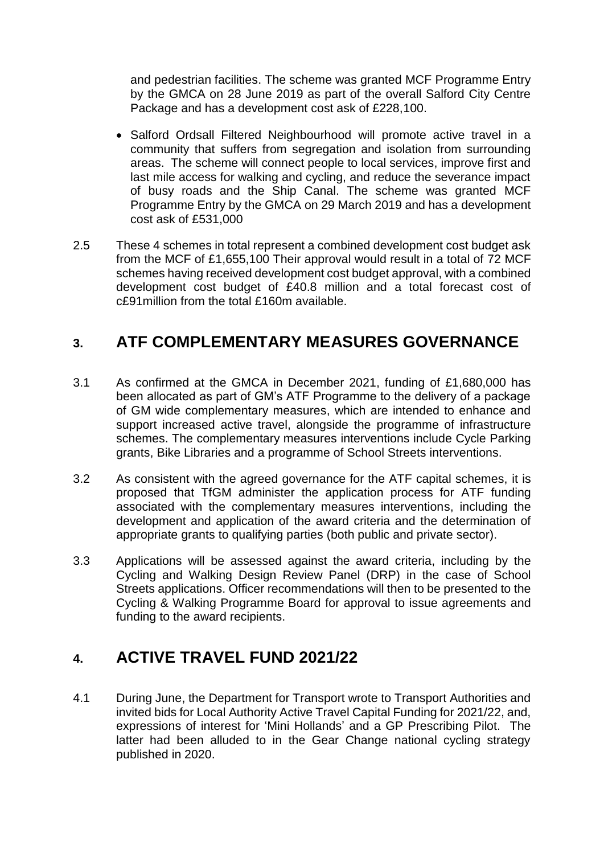and pedestrian facilities. The scheme was granted MCF Programme Entry by the GMCA on 28 June 2019 as part of the overall Salford City Centre Package and has a development cost ask of £228,100.

- Salford Ordsall Filtered Neighbourhood will promote active travel in a community that suffers from segregation and isolation from surrounding areas. The scheme will connect people to local services, improve first and last mile access for walking and cycling, and reduce the severance impact of busy roads and the Ship Canal. The scheme was granted MCF Programme Entry by the GMCA on 29 March 2019 and has a development cost ask of £531,000
- 2.5 These 4 schemes in total represent a combined development cost budget ask from the MCF of £1,655,100 Their approval would result in a total of 72 MCF schemes having received development cost budget approval, with a combined development cost budget of £40.8 million and a total forecast cost of c£91million from the total £160m available.

## **3. ATF COMPLEMENTARY MEASURES GOVERNANCE**

- 3.1 As confirmed at the GMCA in December 2021, funding of £1,680,000 has been allocated as part of GM's ATF Programme to the delivery of a package of GM wide complementary measures, which are intended to enhance and support increased active travel, alongside the programme of infrastructure schemes. The complementary measures interventions include Cycle Parking grants, Bike Libraries and a programme of School Streets interventions.
- 3.2 As consistent with the agreed governance for the ATF capital schemes, it is proposed that TfGM administer the application process for ATF funding associated with the complementary measures interventions, including the development and application of the award criteria and the determination of appropriate grants to qualifying parties (both public and private sector).
- 3.3 Applications will be assessed against the award criteria, including by the Cycling and Walking Design Review Panel (DRP) in the case of School Streets applications. Officer recommendations will then to be presented to the Cycling & Walking Programme Board for approval to issue agreements and funding to the award recipients.

### **4. ACTIVE TRAVEL FUND 2021/22**

4.1 During June, the Department for Transport wrote to Transport Authorities and invited bids for Local Authority Active Travel Capital Funding for 2021/22, and, expressions of interest for 'Mini Hollands' and a GP Prescribing Pilot. The latter had been alluded to in the Gear Change national cycling strategy published in 2020.